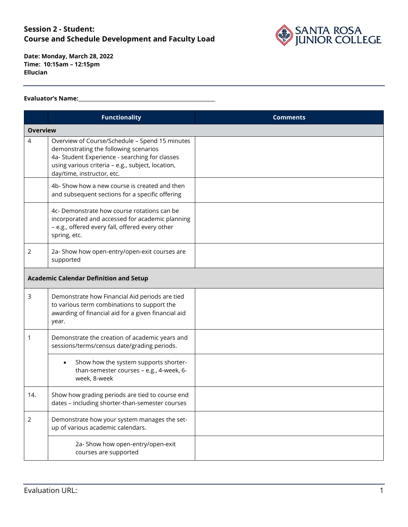

**Date: Monday, March 28, 2022 Time: 10:15am – 12:15pm Ellucian**

#### **Evaluator's Name:\_\_\_\_\_\_\_\_\_\_\_\_\_\_\_\_\_\_\_\_\_\_\_\_\_\_\_\_\_\_\_\_\_\_\_\_\_\_\_\_\_\_\_\_\_\_\_\_\_\_\_\_\_\_**

|                 | <b>Functionality</b>                                                                                                                                                                                                         | <b>Comments</b> |
|-----------------|------------------------------------------------------------------------------------------------------------------------------------------------------------------------------------------------------------------------------|-----------------|
| <b>Overview</b> |                                                                                                                                                                                                                              |                 |
| 4               | Overview of Course/Schedule - Spend 15 minutes<br>demonstrating the following scenarios<br>4a- Student Experience - searching for classes<br>using various criteria - e.g., subject, location,<br>day/time, instructor, etc. |                 |
|                 | 4b- Show how a new course is created and then<br>and subsequent sections for a specific offering                                                                                                                             |                 |
|                 | 4c- Demonstrate how course rotations can be<br>incorporated and accessed for academic planning<br>- e.g., offered every fall, offered every other<br>spring, etc.                                                            |                 |
| 2               | 2a- Show how open-entry/open-exit courses are<br>supported                                                                                                                                                                   |                 |
|                 | <b>Academic Calendar Definition and Setup</b>                                                                                                                                                                                |                 |
| 3               | Demonstrate how Financial Aid periods are tied<br>to various term combinations to support the<br>awarding of financial aid for a given financial aid<br>year.                                                                |                 |
| 1               | Demonstrate the creation of academic years and<br>sessions/terms/census date/grading periods.                                                                                                                                |                 |
|                 | Show how the system supports shorter-<br>$\bullet$<br>than-semester courses - e.g., 4-week, 6-<br>week, 8-week                                                                                                               |                 |
| 14.             | Show how grading periods are tied to course end<br>dates - including shorter-than-semester courses                                                                                                                           |                 |
| $\overline{2}$  | Demonstrate how your system manages the set-<br>up of various academic calendars.                                                                                                                                            |                 |
|                 | 2a- Show how open-entry/open-exit<br>courses are supported                                                                                                                                                                   |                 |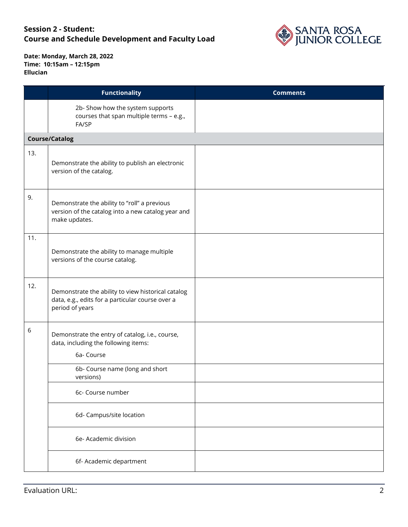

|       | <b>Functionality</b>                                                                                                      | <b>Comments</b> |
|-------|---------------------------------------------------------------------------------------------------------------------------|-----------------|
|       | 2b- Show how the system supports<br>courses that span multiple terms - e.g.,<br>FA/SP                                     |                 |
|       | <b>Course/Catalog</b>                                                                                                     |                 |
| 13.   | Demonstrate the ability to publish an electronic<br>version of the catalog.                                               |                 |
| 9.    | Demonstrate the ability to "roll" a previous<br>version of the catalog into a new catalog year and<br>make updates.       |                 |
| 11.   | Demonstrate the ability to manage multiple<br>versions of the course catalog.                                             |                 |
| 12.   | Demonstrate the ability to view historical catalog<br>data, e.g., edits for a particular course over a<br>period of years |                 |
| $6\,$ | Demonstrate the entry of catalog, i.e., course,<br>data, including the following items:<br>6a- Course                     |                 |
|       | 6b- Course name (long and short<br>versions)                                                                              |                 |
|       | 6c- Course number                                                                                                         |                 |
|       | 6d- Campus/site location                                                                                                  |                 |
|       | 6e- Academic division                                                                                                     |                 |
|       | 6f- Academic department                                                                                                   |                 |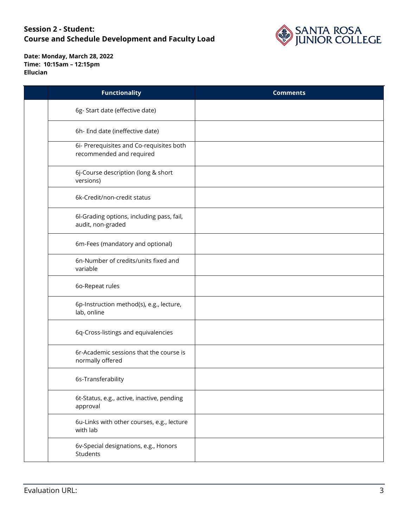

| <b>Functionality</b>                                                 | <b>Comments</b> |
|----------------------------------------------------------------------|-----------------|
| 6g-Start date (effective date)                                       |                 |
| 6h- End date (ineffective date)                                      |                 |
| 6i- Prerequisites and Co-requisites both<br>recommended and required |                 |
| 6j-Course description (long & short<br>versions)                     |                 |
| 6k-Credit/non-credit status                                          |                 |
| 6l-Grading options, including pass, fail,<br>audit, non-graded       |                 |
| 6m-Fees (mandatory and optional)                                     |                 |
| 6n-Number of credits/units fixed and<br>variable                     |                 |
| 6o-Repeat rules                                                      |                 |
| 6p-Instruction method(s), e.g., lecture,<br>lab, online              |                 |
| 6q-Cross-listings and equivalencies                                  |                 |
| 6r-Academic sessions that the course is<br>normally offered          |                 |
| 6s-Transferability                                                   |                 |
| 6t-Status, e.g., active, inactive, pending<br>approval               |                 |
| 6u-Links with other courses, e.g., lecture<br>with lab               |                 |
| 6v-Special designations, e.g., Honors<br>Students                    |                 |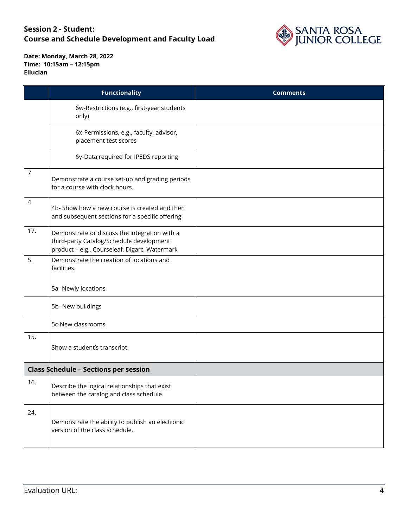

|                | <b>Functionality</b>                                                                                                                       | <b>Comments</b> |
|----------------|--------------------------------------------------------------------------------------------------------------------------------------------|-----------------|
|                | 6w-Restrictions (e.g., first-year students<br>only)                                                                                        |                 |
|                | 6x-Permissions, e.g., faculty, advisor,<br>placement test scores                                                                           |                 |
|                | 6y-Data required for IPEDS reporting                                                                                                       |                 |
| $\overline{7}$ | Demonstrate a course set-up and grading periods<br>for a course with clock hours.                                                          |                 |
| 4              | 4b- Show how a new course is created and then<br>and subsequent sections for a specific offering                                           |                 |
| 17.            | Demonstrate or discuss the integration with a<br>third-party Catalog/Schedule development<br>product - e.g., Courseleaf, Digarc, Watermark |                 |
| 5.             | Demonstrate the creation of locations and<br>facilities.                                                                                   |                 |
|                | 5a- Newly locations                                                                                                                        |                 |
|                | 5b- New buildings                                                                                                                          |                 |
|                | 5c-New classrooms                                                                                                                          |                 |
| 15.            | Show a student's transcript.                                                                                                               |                 |
|                | <b>Class Schedule - Sections per session</b>                                                                                               |                 |
| 16.            | Describe the logical relationships that exist<br>between the catalog and class schedule.                                                   |                 |
| 24.            | Demonstrate the ability to publish an electronic<br>version of the class schedule.                                                         |                 |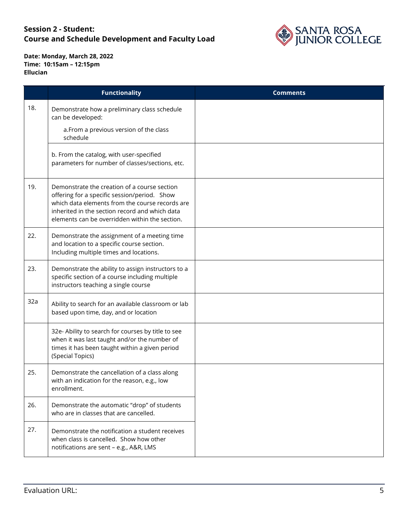

|     | <b>Functionality</b>                                                                                                                                                                                                                                | <b>Comments</b> |
|-----|-----------------------------------------------------------------------------------------------------------------------------------------------------------------------------------------------------------------------------------------------------|-----------------|
| 18. | Demonstrate how a preliminary class schedule<br>can be developed:                                                                                                                                                                                   |                 |
|     | a. From a previous version of the class<br>schedule                                                                                                                                                                                                 |                 |
|     | b. From the catalog, with user-specified<br>parameters for number of classes/sections, etc.                                                                                                                                                         |                 |
| 19. | Demonstrate the creation of a course section<br>offering for a specific session/period. Show<br>which data elements from the course records are<br>inherited in the section record and which data<br>elements can be overridden within the section. |                 |
| 22. | Demonstrate the assignment of a meeting time<br>and location to a specific course section.<br>Including multiple times and locations.                                                                                                               |                 |
| 23. | Demonstrate the ability to assign instructors to a<br>specific section of a course including multiple<br>instructors teaching a single course                                                                                                       |                 |
| 32a | Ability to search for an available classroom or lab<br>based upon time, day, and or location                                                                                                                                                        |                 |
|     | 32e- Ability to search for courses by title to see<br>when it was last taught and/or the number of<br>times it has been taught within a given period<br>(Special Topics)                                                                            |                 |
| 25. | Demonstrate the cancellation of a class along<br>with an indication for the reason, e.g., low<br>enrollment.                                                                                                                                        |                 |
| 26. | Demonstrate the automatic "drop" of students<br>who are in classes that are cancelled.                                                                                                                                                              |                 |
| 27. | Demonstrate the notification a student receives<br>when class is cancelled. Show how other<br>notifications are sent - e.g., A&R, LMS                                                                                                               |                 |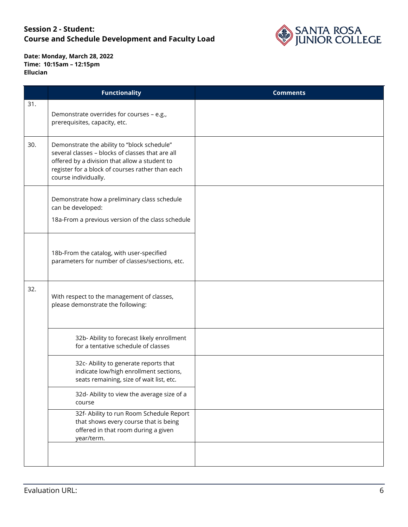

|     | <b>Functionality</b>                                                                                                                                                                                                         | <b>Comments</b> |
|-----|------------------------------------------------------------------------------------------------------------------------------------------------------------------------------------------------------------------------------|-----------------|
| 31. | Demonstrate overrides for courses - e.g.,<br>prerequisites, capacity, etc.                                                                                                                                                   |                 |
| 30. | Demonstrate the ability to "block schedule"<br>several classes - blocks of classes that are all<br>offered by a division that allow a student to<br>register for a block of courses rather than each<br>course individually. |                 |
|     | Demonstrate how a preliminary class schedule<br>can be developed:<br>18a-From a previous version of the class schedule                                                                                                       |                 |
|     | 18b-From the catalog, with user-specified<br>parameters for number of classes/sections, etc.                                                                                                                                 |                 |
| 32. | With respect to the management of classes,<br>please demonstrate the following:                                                                                                                                              |                 |
|     | 32b- Ability to forecast likely enrollment<br>for a tentative schedule of classes                                                                                                                                            |                 |
|     | 32c- Ability to generate reports that<br>indicate low/high enrollment sections,<br>seats remaining, size of wait list, etc.                                                                                                  |                 |
|     | 32d- Ability to view the average size of a<br>course                                                                                                                                                                         |                 |
|     | 32f- Ability to run Room Schedule Report<br>that shows every course that is being<br>offered in that room during a given<br>year/term.                                                                                       |                 |
|     |                                                                                                                                                                                                                              |                 |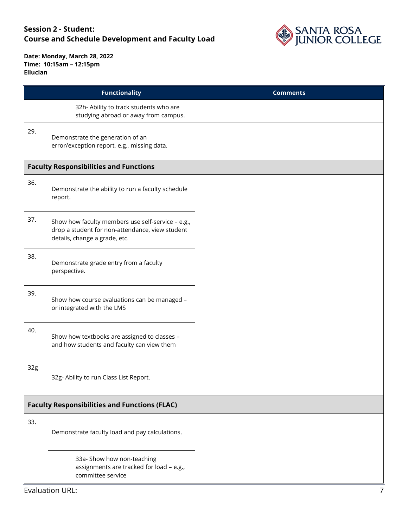

|     | <b>Functionality</b>                                                                                                                  | <b>Comments</b> |
|-----|---------------------------------------------------------------------------------------------------------------------------------------|-----------------|
|     | 32h- Ability to track students who are<br>studying abroad or away from campus.                                                        |                 |
| 29. | Demonstrate the generation of an<br>error/exception report, e.g., missing data.                                                       |                 |
|     | <b>Faculty Responsibilities and Functions</b>                                                                                         |                 |
| 36. | Demonstrate the ability to run a faculty schedule<br>report.                                                                          |                 |
| 37. | Show how faculty members use self-service - e.g.,<br>drop a student for non-attendance, view student<br>details, change a grade, etc. |                 |
| 38. | Demonstrate grade entry from a faculty<br>perspective.                                                                                |                 |
| 39. | Show how course evaluations can be managed -<br>or integrated with the LMS                                                            |                 |
| 40. | Show how textbooks are assigned to classes -<br>and how students and faculty can view them                                            |                 |
| 32g | 32g- Ability to run Class List Report.                                                                                                |                 |
|     | <b>Faculty Responsibilities and Functions (FLAC)</b>                                                                                  |                 |
| 33. | Demonstrate faculty load and pay calculations.                                                                                        |                 |
|     | 33a- Show how non-teaching<br>assignments are tracked for load - e.g.,<br>committee service                                           |                 |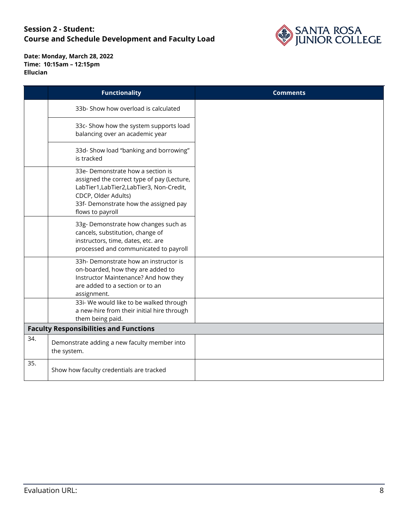

|     | <b>Functionality</b>                                                                                                                                                                                           | <b>Comments</b> |
|-----|----------------------------------------------------------------------------------------------------------------------------------------------------------------------------------------------------------------|-----------------|
|     | 33b- Show how overload is calculated                                                                                                                                                                           |                 |
|     | 33c- Show how the system supports load<br>balancing over an academic year                                                                                                                                      |                 |
|     | 33d- Show load "banking and borrowing"<br>is tracked                                                                                                                                                           |                 |
|     | 33e- Demonstrate how a section is<br>assigned the correct type of pay (Lecture,<br>LabTier1,LabTier2,LabTier3, Non-Credit,<br>CDCP, Older Adults)<br>33f- Demonstrate how the assigned pay<br>flows to payroll |                 |
|     | 33g- Demonstrate how changes such as<br>cancels, substitution, change of<br>instructors, time, dates, etc. are<br>processed and communicated to payroll                                                        |                 |
|     | 33h- Demonstrate how an instructor is<br>on-boarded, how they are added to<br>Instructor Maintenance? And how they<br>are added to a section or to an<br>assignment.                                           |                 |
|     | 33i- We would like to be walked through<br>a new-hire from their initial hire through<br>them being paid.                                                                                                      |                 |
|     | <b>Faculty Responsibilities and Functions</b>                                                                                                                                                                  |                 |
| 34. | Demonstrate adding a new faculty member into<br>the system.                                                                                                                                                    |                 |
| 35. | Show how faculty credentials are tracked                                                                                                                                                                       |                 |